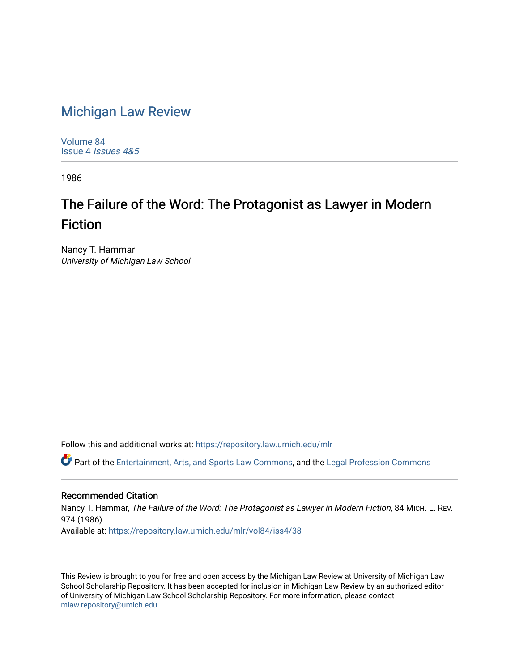## [Michigan Law Review](https://repository.law.umich.edu/mlr)

[Volume 84](https://repository.law.umich.edu/mlr/vol84) Issue 4 [Issues 4&5](https://repository.law.umich.edu/mlr/vol84/iss4) 

1986

## The Failure of the Word: The Protagonist as Lawyer in Modern Fiction

Nancy T. Hammar University of Michigan Law School

Follow this and additional works at: [https://repository.law.umich.edu/mlr](https://repository.law.umich.edu/mlr?utm_source=repository.law.umich.edu%2Fmlr%2Fvol84%2Fiss4%2F38&utm_medium=PDF&utm_campaign=PDFCoverPages) 

Part of the [Entertainment, Arts, and Sports Law Commons](http://network.bepress.com/hgg/discipline/893?utm_source=repository.law.umich.edu%2Fmlr%2Fvol84%2Fiss4%2F38&utm_medium=PDF&utm_campaign=PDFCoverPages), and the [Legal Profession Commons](http://network.bepress.com/hgg/discipline/1075?utm_source=repository.law.umich.edu%2Fmlr%2Fvol84%2Fiss4%2F38&utm_medium=PDF&utm_campaign=PDFCoverPages) 

## Recommended Citation

Nancy T. Hammar, The Failure of the Word: The Protagonist as Lawyer in Modern Fiction, 84 MICH. L. REV. 974 (1986). Available at: [https://repository.law.umich.edu/mlr/vol84/iss4/38](https://repository.law.umich.edu/mlr/vol84/iss4/38?utm_source=repository.law.umich.edu%2Fmlr%2Fvol84%2Fiss4%2F38&utm_medium=PDF&utm_campaign=PDFCoverPages) 

This Review is brought to you for free and open access by the Michigan Law Review at University of Michigan Law School Scholarship Repository. It has been accepted for inclusion in Michigan Law Review by an authorized editor of University of Michigan Law School Scholarship Repository. For more information, please contact [mlaw.repository@umich.edu.](mailto:mlaw.repository@umich.edu)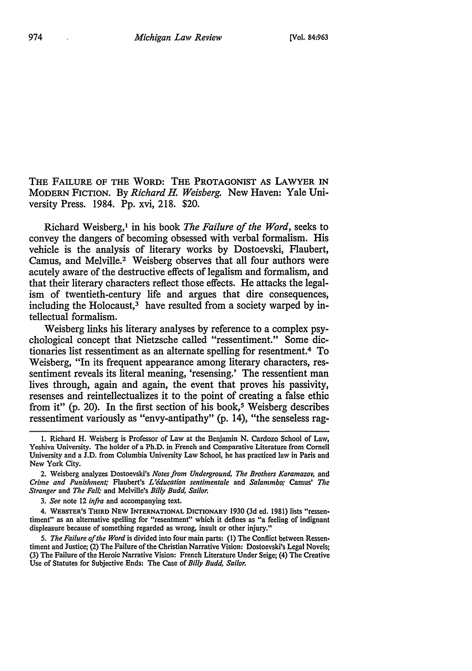THE FAILURE OF THE WORD: THE PROTAGONIST AS LAWYER IN MODERN FICTION. By *Richard* H. *Weisberg.* New Haven: Yale University Press. 1984. Pp. xvi, 218. \$20.

Richard Weisberg, 1 in his book *The Failure of the Word,* seeks to convey the dangers of becoming obsessed with verbal formalism. His vehicle is the analysis of literary works by Dostoevski, Flaubert, Camus, and Melville.<sup>2</sup> Weisberg observes that all four authors were acutely aware of the destructive effects of legalism and formalism, and that their literary characters reflect those effects. He attacks the legalism of twentieth-century life and argues that dire consequences, including the Holocaust, $3$  have resulted from a society warped by intellectual formalism.

Weisberg links his literary analyses by reference to a complex psychological concept that Nietzsche called "ressentiment." Some dictionaries list ressentiment as an alternate spelling for resentment.4 To Weisberg, "In its frequent appearance among literary characters, ressentiment reveals its literal meaning, 'resensing.' The ressentient man lives through, again and again, the event that proves his passivity, resenses and reintellectualizes it to the point of creating a false ethic from it" (p. 20). In the first section of his book,<sup>5</sup> Weisberg describes ressentiment variously as "envy-antipathy" (p. 14), "the senseless rag-

2. Weisberg analyzes Dostoevski's *Notes from Underground, The Brothers Karamazov,* and *Crime and Punishment;* Flaubert's *L'education sentimentale* and *Salammbo;* Camus' *The Stranger* and *The Fall;* and Melville's *Billy Budd, Sailor.* 

3. *See* note 12 *infra* and accompanying text.

4. WEBSTER'S THIRD NEW INTERNATIONAL DICTIONARY 1930 (3d ed. 1981) lists "ressentiment" as an alternative spelling for "resentment" which it defines as "a feeling of indignant displeasure because of something regarded as wrong, insult or other injury."

5. *The Failure of the Word* is divided into four main parts: (1) The Conflict between Ressentiment and Justice; (2) The Failure of the Christian Narrative Vision: Dostoevski's Legal Novels; (3) The Failure of the Heroic Narrative Vision: French Literature Under Seige; (4) The Creative Use of Statutes for Subjective Ends: The Case of *Billy Budd, Sailor.* 

<sup>1.</sup> Richard H. Weisberg is Professor of Law at the Benjamin N. Cardozo School of Law, Yeshiva University. The holder of a Ph.D. in French and Comparative Literature from Cornell University and a J.D. from Columbia University Law School, he has practiced law in Paris and New York City.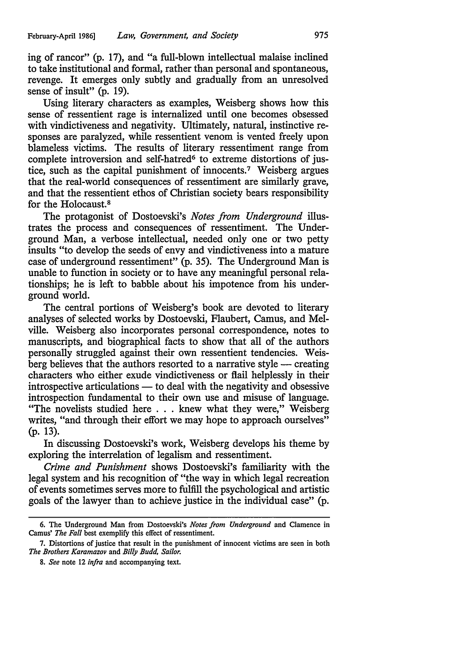ing of rancor" (p. 17), and "a full-blown intellectual malaise inclined to take institutional and formal, rather than personal and spontaneous, revenge. It emerges only subtly and gradually from an unresolved sense of insult" (p. 19).

Using literary characters as examples, Weisberg shows how this sense of ressentient rage is internalized until one becomes obsessed with vindictiveness and negativity. Ultimately, natural, instinctive responses are paralyzed, while ressentient venom is vented freely upon blameless victims. The results of literary ressentiment range from complete introversion and self-hatred<sup>6</sup> to extreme distortions of justice, such as the capital punishment of innocents.<sup>7</sup> Weisberg argues that the real-world consequences of ressentiment are similarly grave, and that the ressentient ethos of Christian society bears responsibility for the Holocaust. 8

The protagonist of Dostoevski's *Notes from Underground* illustrates the process and consequences of ressentiment. The Underground Man, a verbose intellectual, needed only one or two petty insults "to develop the seeds of envy and vindictiveness into a mature case of underground ressentiment" (p. 35). The Underground Man is unable to function in society or to have any meaningful personal relationships; he is left to babble about his impotence from his underground world.

The central portions of Weisberg's book are devoted to literary analyses of selected works by Dostoevski, Flaubert, Camus, and Melville. Weisberg also incorporates personal correspondence, notes to manuscripts, and biographical facts to show that all of the authors personally struggled against their own ressentient tendencies. Weisberg believes that the authors resorted to a narrative style  $-$  creating characters who either exude vindictiveness or flail helplessly in their  $introspective articulations — to deal with the negatively and observes$ introspection fundamental to their own use and misuse of language. "The novelists studied here ... knew what they were," Weisberg writes, "and through their effort we may hope to approach ourselves" (p. 13).

In discussing Dostoevski's work, Weisberg develops his theme by exploring the interrelation of legalism and ressentiment.

*Crime and Punishment* shows Dostoevski's familiarity with the legal system and his recognition of "the way in which legal recreation of events sometimes serves more to fulfill the psychological and artistic goals of the lawyer than to achieve justice in the individual case" (p.

<sup>6.</sup> The Underground Man from Dostoevski's *Notes from Underground* and Clamence in Camus' *The Fall* best exemplify this effect of ressentiment.

<sup>7.</sup> Distortions of justice that result in the punishment of innocent victims are seen in both *The Brothers Karamazov* and *Billy Budd, Sailor.* 

<sup>8.</sup> *See* note 12 *infra* and accompanying text.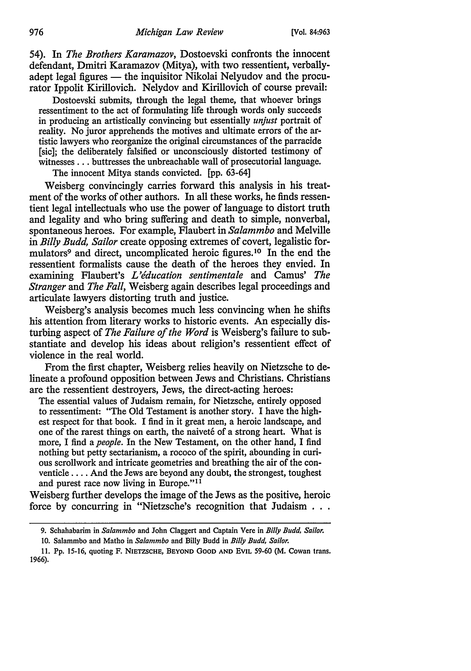54). In *The Brothers Karamazov,* Dostoevski confronts the innocent defendant, Dmitri Karamazov (Mitya), with two ressentient, verballyadept legal figures - the inquisitor Nikolai Nelyudov and the procurator Ippolit Kirillovich. Nelydov and Kirillovich of course prevail:

Dostoevski submits, through the legal theme, that whoever brings ressentiment to the act of formulating life through words only succeeds in producing an artistically convincing but essentially *unjust* portrait of reality. No juror apprehends the motives and ultimate errors of the artistic lawyers who reorganize the original circumstances of the parracide [sic]; the deliberately falsified or unconsciously distorted testimony of witnesses ... buttresses the unbreachable wall of prosecutorial language.

The innocent Mitya stands convicted. [pp. 63-64]

Weisberg convincingly carries forward this analysis in his treatment of the works of other authors. In all these works, he finds ressentient legal intellectuals who use the power of language to distort truth and legality and who bring suffering and death to simple, nonverbal, spontaneous heroes. For example, Flaubert in *Salammbo* and Melville in *Billy Budd, Sailor* create opposing extremes of covert, legalistic formulators<sup>9</sup> and direct, uncomplicated heroic figures.<sup>10</sup> In the end the ressentient formalists cause the death of the heroes they envied. In examining Flaubert's *L'education sentimentale* and Camus' *The Stranger* and *The Fall,* Weisberg again describes legal proceedings and articulate lawyers distorting truth and justice.

Weisberg's analysis becomes much less convincing when he shifts his attention from literary works to historic events. An especially disturbing aspect of *The Failure of the Word* is Weisberg's failure to substantiate and develop his ideas about religion's ressentient effect of violence in the real world.

From the first chapter, Weisberg relies heavily on Nietzsche to delineate a profound opposition between Jews and Christians. Christians are the ressentient destroyers, Jews, the direct-acting heroes:

The essential values of Judaism remain, for Nietzsche, entirely opposed to ressentiment: "The Old Testament is another story. I have the highest respect for that book. I find in it great men, a heroic landscape, and one of the rarest things on earth, the naivete of a strong heart. What is more, I find a *people.* In the New Testament, on the other hand, I find nothing but petty sectarianism, a rococo of the spirit, abounding in curious scrollwork and intricate geometries and breathing the air of the conventicle .... And the Jews are beyond any doubt, the strongest, toughest and purest race now living in Europe."11

Weisberg further develops the image of the Jews as the positive, heroic force by concurring in "Nietzsche's recognition that Judaism . . .

<sup>9.</sup> Schahabarim in *Salammbo* and John Claggert and Captain Vere in *Billy Budd, Sailor.* 

<sup>10.</sup> Salammbo and Matho in *Salammbo* and Billy Budd in *Billy Budd, Sailor.* 

<sup>11.</sup> Pp. 15-16, quoting F. NIETZSCHE, BEYOND GOOD AND EVIL 59-60 (M. Cowan trans. 1966).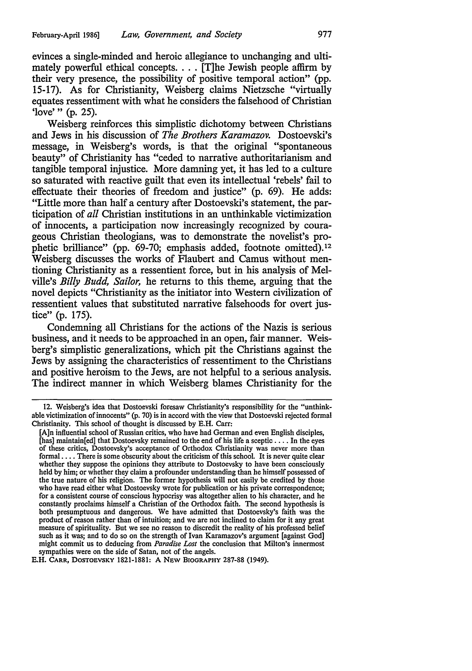evinces a single-minded and heroic allegiance to unchanging and ultimately powerful ethical concepts .... [T]he Jewish people affirm by their very presence, the possibility of positive temporal action" (pp. 15-17). As for Christianity, Weisberg claims Nietzsche "virtually equates ressentiment with what he considers the falsehood of Christian 'love' " (p. 25).

Weisberg reinforces this simplistic dichotomy between Christians and Jews in his discussion of *The Brothers Karamazov.* Dostoevski's message, in Weisberg's words, is that the original "spontaneous beauty" of Christianity has "ceded to narrative authoritarianism and tangible temporal injustice. More damning yet, it has led to a culture so saturated with reactive guilt that even its intellectual 'rebels' fail to effectuate their theories of freedom and justice" (p. 69). He adds: "Little more than half a century after Dostoevski's statement, the participation of *all* Christian institutions in an unthinkable victimization of innocents, a participation now increasingly recognized by courageous Christian theologians, was to demonstrate the novelist's prophetic brilliance" (pp. 69-70; emphasis added, footnote omitted). <sup>12</sup> Weisberg discusses the works of Flaubert and Camus without mentioning Christianity as a ressentient force, but in his analysis of Melville's *Billy Budd, Sailor,* he returns to this theme, arguing that the novel depicts "Christianity as the initiator into Western civilization of ressentient values that substituted narrative falsehoods for overt justice" (p. 175).

Condemning all Christians for the actions of the Nazis is serious business, and it needs to be approached in an open, fair manner. Weisberg's simplistic generalizations, which pit the Christians against the Jews by assigning the characteristics of ressentiment to the Christians and positive heroism to the Jews, are not helpful to a serious analysis. The indirect manner in which Weisberg blames Christianity for the

E.H. CARR, DOSTOEVSKY 1821-1881: A NEW BIOGRAPHY 287-88 (1949).

<sup>12.</sup> Weisberg's idea that Dostoevski foresaw Christianity's responsibility for the "unthinkable victimization of innocents" (p. 70) is in accord with the view that Dostoevski rejected formal Christianity. This school of thought is discussed by E.H. Carr:

<sup>[</sup>A]n influential school of Russian critics, who have had German and even English disciples, [has] maintain[ed] that Dostoevsky remained to the end of his life a sceptic .... In the eyes of these critics, Dostoevsky's acceptance of Orthodox Christianity was never more than formal .... There is some obscurity about the criticism of this school. It is never quite clear whether they suppose the opinions they attribute to Dostoevsky to have been consciously held by him; or whether they claim a profounder understanding than he himself possessed of the true nature of his religion. The former hypothesis will not easily be credited by those who have read either what Dostoevsky wrote for publication or his private correspondence; for a consistent course of conscious hypocrisy was altogether alien to his character, and he constantly proclaims himself a Christian of the Orthodox faith. The second hypothesis is both presumptuous and dangerous. We have admitted that Dostoevsky's faith was the product of reason rather than of intuition; and we are not inclined to claim for it any great measure of spirituality. But we see no reason to discredit the reality of his professed belief such as it was; and to do so on the strength of Ivan Karamazov's argument [against God] might commit us to deducing from *Paradise Lost* the conclusion that Milton's innermost sympathies were on the side of Satan, not of the angels.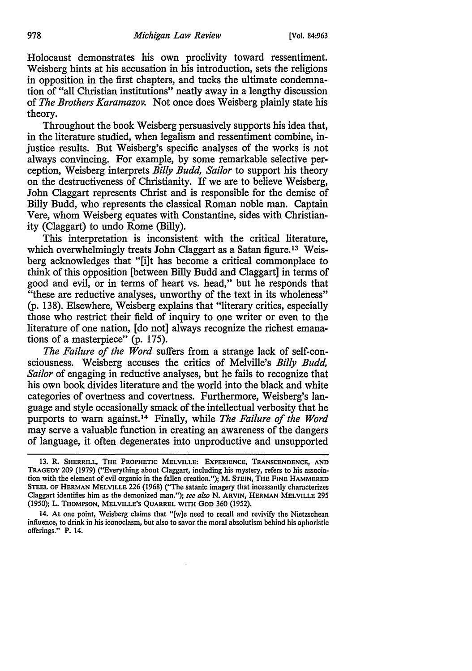Holocaust demonstrates his own proclivity toward ressentiment. Weisberg hints at his accusation in his introduction, sets the religions in opposition in the first chapters, and tucks the ultimate condemnation of "all Christian institutions" neatly away in a lengthy discussion of *The Brothers Karamazov.* Not once does Weisberg plainly state his theory.

Throughout the book Weisberg persuasively supports his idea that, in the literature studied, when legalism and ressentiment combine, injustice results. But Weisberg's specific analyses of the works is not always convincing. For example, by some remarkable selective perception, Weisberg interprets *Billy Budd, Sailor* to support his theory on the destructiveness of Christianity. If we are to believe Weisberg, John Claggart represents Christ and is responsible for the demise of Billy Budd, who represents the classical Roman noble man. Captain Vere, whom Weisberg equates with Constantine, sides with Christianity (Claggart) to undo Rome (Billy).

This interpretation is inconsistent with the critical literature, which overwhelmingly treats John Claggart as a Satan figure.<sup>13</sup> Weisberg acknowledges that "[i]t has become a critical commonplace to think of this opposition [between Billy Budd and Claggart] in terms of good and evil, or in terms of heart vs. head," but he responds that "these are reductive analyses, unworthy of the text in its wholeness" (p. 138). Elsewhere, Weisberg explains that "literary critics, especially those who restrict their field of inquiry to one writer or even to the literature of one nation, [do not] always recognize the richest emanations of a masterpiece" (p. 175).

*The Failure of the Word* suffers from a strange lack of self-consciousness. Weisberg accuses the critics of Melville's *Billy Budd, Sailor* of engaging in reductive analyses, but he fails to recognize that his own book divides literature and the world into the black and white categories of overtness and covertness. Furthermore, Weisberg's language and style occasionally smack of the intellectual verbosity that he purports to warn against. 14 Finally, while *The Failure of the Word*  may serve a valuable function in creating an awareness of the dangers of language, it often degenerates into unproductive and unsupported

14. At one point, Weisberg claims that "[w]e need to recall and revivify the Nietzschean influence, to drink in his iconoclasm, but also to savor the moral absolutism behind his aphoristic offerings." P. 14.

<sup>13.</sup> R. SHERRILL, THE PROPHETIC MELVILLE: EXPERIENCE, TRANSCENDENCE, AND TRAGEDY 209 (1979) ("Everything about Claggart, including his mystery, refers to his association with the element of evil organic in the fallen creation."); M. STEIN, THE FINE HAMMERED STEEL OF HERMAN MELVILLE 226 (1968) ("The satanic imagery that incessantly characterizes Claggart identifies him as the demonized man."); *see also* N. ARVIN, HERMAN MELVILLE 295 (1950); L. THOMPSON, MELVILLE'S QUARREL WITH Goo 360 (1952).